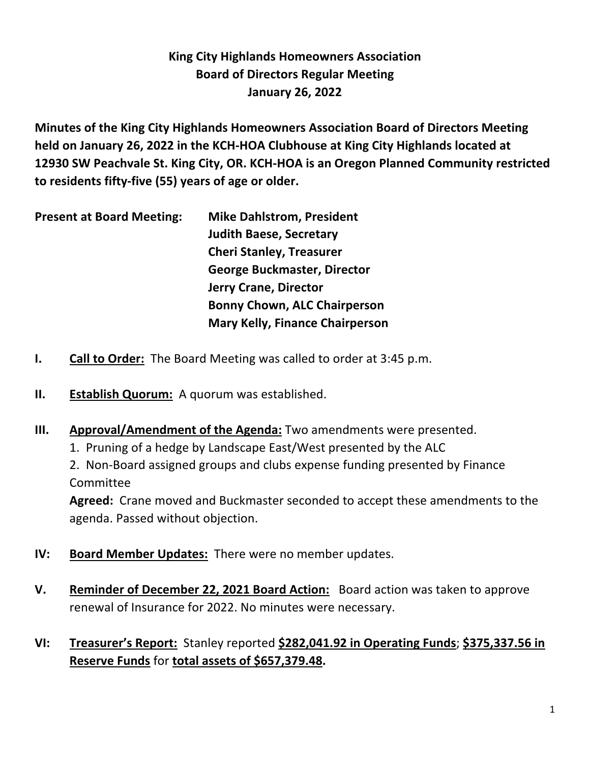## **King City Highlands Homeowners Association Board of Directors Regular Meeting January 26, 2022**

**Minutes of the King City Highlands Homeowners Association Board of Directors Meeting held on January 26, 2022 in the KCH-HOA Clubhouse at King City Highlands located at 12930 SW Peachvale St. King City, OR. KCH-HOA is an Oregon Planned Community restricted to residents fifty-five (55) years of age or older.**

| <b>Mike Dahlstrom, President</b>       |
|----------------------------------------|
| <b>Judith Baese, Secretary</b>         |
| <b>Cheri Stanley, Treasurer</b>        |
| <b>George Buckmaster, Director</b>     |
| <b>Jerry Crane, Director</b>           |
| <b>Bonny Chown, ALC Chairperson</b>    |
| <b>Mary Kelly, Finance Chairperson</b> |
|                                        |

- **I. Call to Order:** The Board Meeting was called to order at 3:45 p.m.
- **II. Establish Quorum:** A quorum was established.
- **III. Approval/Amendment of the Agenda:** Two amendments were presented.
	- 1. Pruning of a hedge by Landscape East/West presented by the ALC

2. Non-Board assigned groups and clubs expense funding presented by Finance Committee

**Agreed:** Crane moved and Buckmaster seconded to accept these amendments to the agenda. Passed without objection.

- **IV: Board Member Updates:** There were no member updates.
- **V. Reminder of December 22, 2021 Board Action:** Board action was taken to approve renewal of Insurance for 2022. No minutes were necessary.
- **VI: Treasurer's Report:** Stanley reported **\$282,041.92 in Operating Funds**; **\$375,337.56 in Reserve Funds** for **total assets of \$657,379.48.**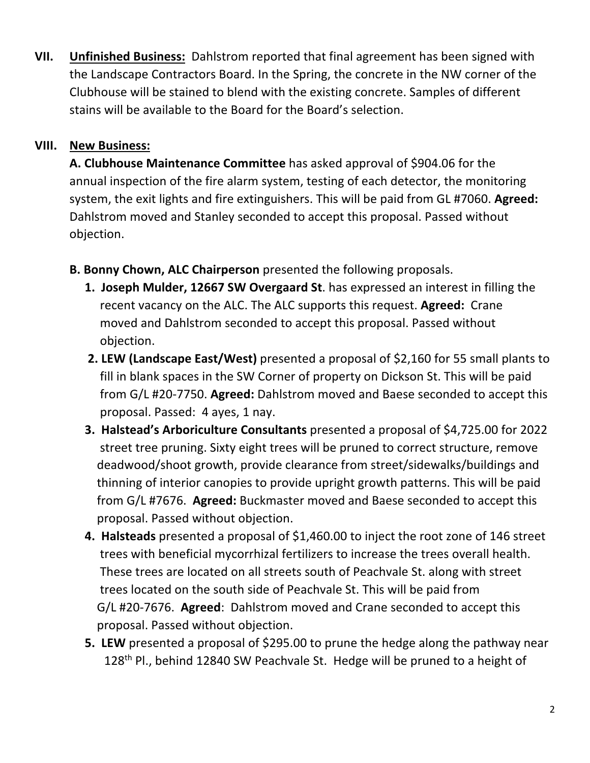**VII. Unfinished Business:** Dahlstrom reported that final agreement has been signed with the Landscape Contractors Board. In the Spring, the concrete in the NW corner of the Clubhouse will be stained to blend with the existing concrete. Samples of different stains will be available to the Board for the Board's selection.

## **VIII. New Business:**

**A. Clubhouse Maintenance Committee** has asked approval of \$904.06 for the annual inspection of the fire alarm system, testing of each detector, the monitoring system, the exit lights and fire extinguishers. This will be paid from GL #7060. **Agreed:** Dahlstrom moved and Stanley seconded to accept this proposal. Passed without objection.

- **B. Bonny Chown, ALC Chairperson** presented the following proposals.
	- **1. Joseph Mulder, 12667 SW Overgaard St**. has expressed an interest in filling the recent vacancy on the ALC. The ALC supports this request. **Agreed:** Crane moved and Dahlstrom seconded to accept this proposal. Passed without objection.
	- **2. LEW (Landscape East/West)** presented a proposal of \$2,160 for 55 small plants to fill in blank spaces in the SW Corner of property on Dickson St. This will be paid from G/L #20-7750. **Agreed:** Dahlstrom moved and Baese seconded to accept this proposal. Passed: 4 ayes, 1 nay.
	- **3. Halstead's Arboriculture Consultants** presented a proposal of \$4,725.00 for 2022 street tree pruning. Sixty eight trees will be pruned to correct structure, remove deadwood/shoot growth, provide clearance from street/sidewalks/buildings and thinning of interior canopies to provide upright growth patterns. This will be paid from G/L #7676. **Agreed:** Buckmaster moved and Baese seconded to accept this proposal. Passed without objection.
	- **4. Halsteads** presented a proposal of \$1,460.00 to inject the root zone of 146 street trees with beneficial mycorrhizal fertilizers to increase the trees overall health. These trees are located on all streets south of Peachvale St. along with street trees located on the south side of Peachvale St. This will be paid from G/L #20-7676. **Agreed**: Dahlstrom moved and Crane seconded to accept this proposal. Passed without objection.
	- **5. LEW** presented a proposal of \$295.00 to prune the hedge along the pathway near 128<sup>th</sup> Pl., behind 12840 SW Peachvale St. Hedge will be pruned to a height of